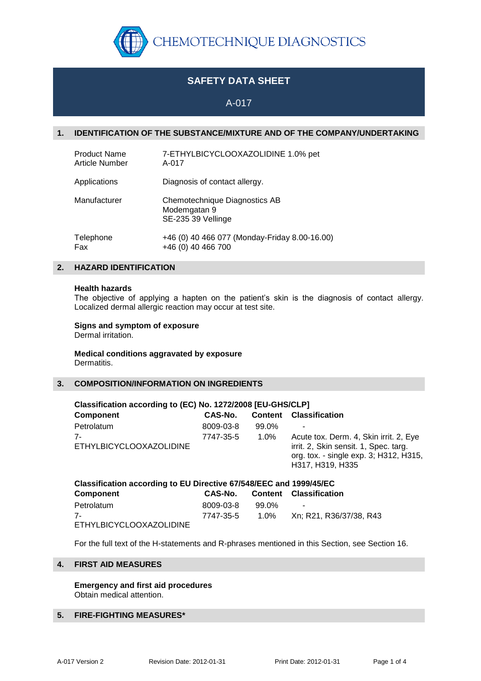

# **SAFETY DATA SHEET**

A-017

# **1. IDENTIFICATION OF THE SUBSTANCE/MIXTURE AND OF THE COMPANY/UNDERTAKING**

| <b>Product Name</b>   | 7-ETHYLBICYCLOOXAZOLIDINE 1.0% pet                                  |
|-----------------------|---------------------------------------------------------------------|
| <b>Article Number</b> | A-017                                                               |
| Applications          | Diagnosis of contact allergy.                                       |
| Manufacturer          | Chemotechnique Diagnostics AB<br>Modemgatan 9<br>SE-235 39 Vellinge |
| Telephone             | +46 (0) 40 466 077 (Monday-Friday 8.00-16.00)                       |
| Fax                   | +46 (0) 40 466 700                                                  |

# **2. HAZARD IDENTIFICATION**

#### **Health hazards**

The objective of applying a hapten on the patient's skin is the diagnosis of contact allergy. Localized dermal allergic reaction may occur at test site.

# **Signs and symptom of exposure**

Dermal irritation.

#### **Medical conditions aggravated by exposure** Dermatitis.

# **3. COMPOSITION/INFORMATION ON INGREDIENTS**

| Classification according to (EC) No. 1272/2008 [EU-GHS/CLP] |           |         |                                                                                                                                               |  |  |
|-------------------------------------------------------------|-----------|---------|-----------------------------------------------------------------------------------------------------------------------------------------------|--|--|
| <b>Component</b>                                            | CAS-No.   | Content | <b>Classification</b>                                                                                                                         |  |  |
| Petrolatum                                                  | 8009-03-8 | 99.0%   |                                                                                                                                               |  |  |
| 7-<br>ETHYLBICYCLOOXAZOLIDINE                               | 7747-35-5 | $1.0\%$ | Acute tox. Derm. 4, Skin irrit. 2, Eye<br>irrit. 2, Skin sensit. 1, Spec. targ.<br>org. tox. - single exp. 3; H312, H315,<br>H317, H319, H335 |  |  |

| Classification according to EU Directive 67/548/EEC and 1999/45/EC |           |       |                               |  |
|--------------------------------------------------------------------|-----------|-------|-------------------------------|--|
| Component                                                          | CAS-No.   |       | <b>Content Classification</b> |  |
| Petrolatum                                                         | 8009-03-8 | 99.0% | $\sim$                        |  |
| $7-$                                                               | 7747-35-5 | 1.0%  | Xn: R21. R36/37/38. R43       |  |
| ETHYLBICYCLOOXAZOLIDINE                                            |           |       |                               |  |

For the full text of the H-statements and R-phrases mentioned in this Section, see Section 16.

# **4. FIRST AID MEASURES**

**Emergency and first aid procedures** Obtain medical attention.

# **5. FIRE-FIGHTING MEASURES\***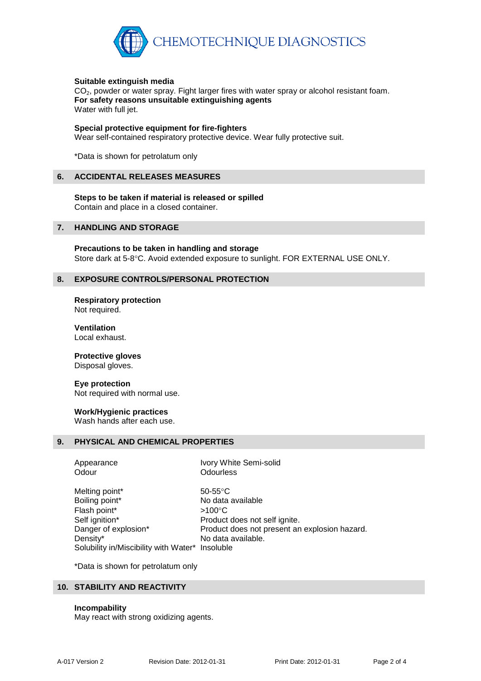

## **Suitable extinguish media**

CO<sub>2</sub>, powder or water spray. Fight larger fires with water spray or alcohol resistant foam. **For safety reasons unsuitable extinguishing agents** Water with full jet.

#### **Special protective equipment for fire-fighters**

Wear self-contained respiratory protective device. Wear fully protective suit.

\*Data is shown for petrolatum only

#### **6. ACCIDENTAL RELEASES MEASURES**

**Steps to be taken if material is released or spilled** Contain and place in a closed container.

#### **7. HANDLING AND STORAGE**

**Precautions to be taken in handling and storage** Store dark at 5-8°C. Avoid extended exposure to sunlight. FOR EXTERNAL USE ONLY.

## **8. EXPOSURE CONTROLS/PERSONAL PROTECTION**

**Respiratory protection** Not required.

**Ventilation** Local exhaust.

# **Protective gloves**

Disposal gloves.

## **Eye protection**

Not required with normal use.

## **Work/Hygienic practices**

Wash hands after each use.

#### **9. PHYSICAL AND CHEMICAL PROPERTIES**

Appearance **Ivory White Semi-solid** Odour **Odourless** Melting point\* 50-55°C Boiling point\* No data available Flash point\*  $>100^{\circ}$ C Self ignition\* Product does not self ignite. Danger of explosion\* Product does not present an explosion hazard. Density\* No data available. Solubility in/Miscibility with Water\* Insoluble

\*Data is shown for petrolatum only

## **10. STABILITY AND REACTIVITY**

#### **Incompability**

May react with strong oxidizing agents.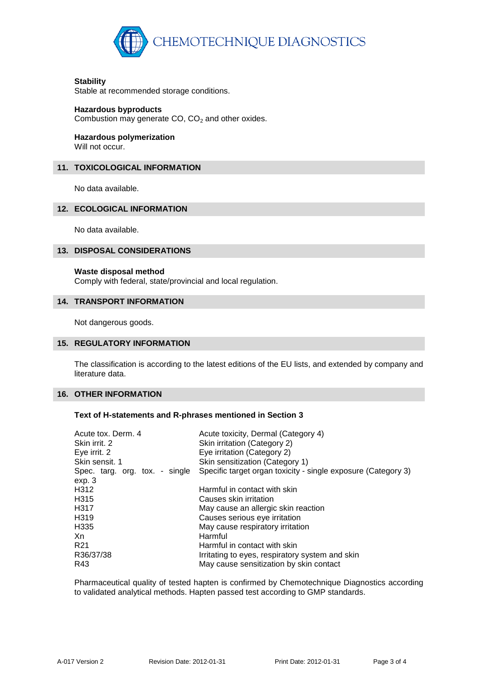

## **Stability**

Stable at recommended storage conditions.

## **Hazardous byproducts**

Combustion may generate  $CO$ ,  $CO<sub>2</sub>$  and other oxides.

# **Hazardous polymerization**

Will not occur.

# **11. TOXICOLOGICAL INFORMATION**

No data available.

# **12. ECOLOGICAL INFORMATION**

No data available.

# **13. DISPOSAL CONSIDERATIONS**

## **Waste disposal method**

Comply with federal, state/provincial and local regulation.

# **14. TRANSPORT INFORMATION**

Not dangerous goods.

# **15. REGULATORY INFORMATION**

The classification is according to the latest editions of the EU lists, and extended by company and literature data.

# **16. OTHER INFORMATION**

# **Text of H-statements and R-phrases mentioned in Section 3**

| Acute tox. Derm. 4<br>Skin irrit. 2<br>Eye irrit. 2<br>Skin sensit. 1<br>Spec. targ. org. tox. - single<br>ехр. 3 | Acute toxicity, Dermal (Category 4)<br>Skin irritation (Category 2)<br>Eye irritation (Category 2)<br>Skin sensitization (Category 1)<br>Specific target organ toxicity - single exposure (Category 3) |
|-------------------------------------------------------------------------------------------------------------------|--------------------------------------------------------------------------------------------------------------------------------------------------------------------------------------------------------|
| H312                                                                                                              | Harmful in contact with skin                                                                                                                                                                           |
| H315                                                                                                              | Causes skin irritation                                                                                                                                                                                 |
| H317                                                                                                              | May cause an allergic skin reaction                                                                                                                                                                    |
| H319                                                                                                              | Causes serious eye irritation                                                                                                                                                                          |
| H335                                                                                                              | May cause respiratory irritation                                                                                                                                                                       |
| Xn                                                                                                                | <b>Harmful</b>                                                                                                                                                                                         |
| R21                                                                                                               | Harmful in contact with skin                                                                                                                                                                           |
| R36/37/38                                                                                                         | Irritating to eyes, respiratory system and skin                                                                                                                                                        |
| R43                                                                                                               | May cause sensitization by skin contact                                                                                                                                                                |

Pharmaceutical quality of tested hapten is confirmed by Chemotechnique Diagnostics according to validated analytical methods. Hapten passed test according to GMP standards.